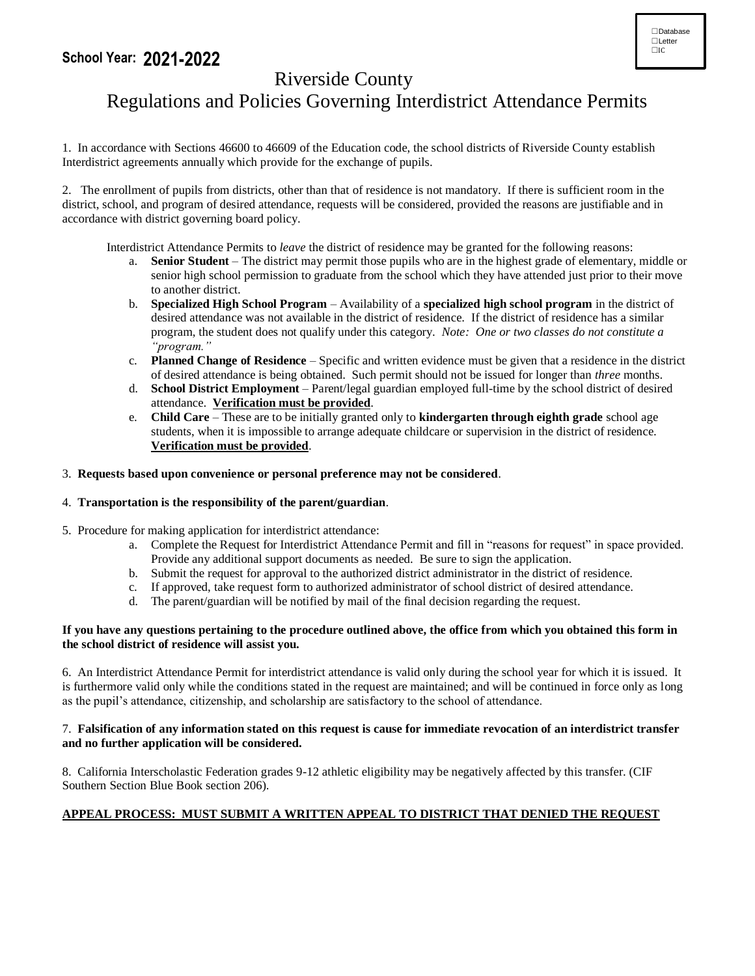### **School Year: 2021-2022**



## Riverside County

# Regulations and Policies Governing Interdistrict Attendance Permits

1. In accordance with Sections 46600 to 46609 of the Education code, the school districts of Riverside County establish Interdistrict agreements annually which provide for the exchange of pupils.

2. The enrollment of pupils from districts, other than that of residence is not mandatory. If there is sufficient room in the district, school, and program of desired attendance, requests will be considered, provided the reasons are justifiable and in accordance with district governing board policy.

Interdistrict Attendance Permits to *leave* the district of residence may be granted for the following reasons:

- a. **Senior Student** The district may permit those pupils who are in the highest grade of elementary, middle or senior high school permission to graduate from the school which they have attended just prior to their move to another district.
- b. **Specialized High School Program** Availability of a **specialized high school program** in the district of desired attendance was not available in the district of residence. If the district of residence has a similar program, the student does not qualify under this category. *Note: One or two classes do not constitute a "program."*
- c. **Planned Change of Residence** Specific and written evidence must be given that a residence in the district of desired attendance is being obtained. Such permit should not be issued for longer than *three* months.
- d. **School District Employment** Parent/legal guardian employed full-time by the school district of desired attendance. **Verification must be provided**.
- e. **Child Care**  These are to be initially granted only to **kindergarten through eighth grade** school age students, when it is impossible to arrange adequate childcare or supervision in the district of residence. **Verification must be provided**.

#### 3. **Requests based upon convenience or personal preference may not be considered**.

#### 4. **Transportation is the responsibility of the parent/guardian**.

- 5. Procedure for making application for interdistrict attendance:
	- a. Complete the Request for Interdistrict Attendance Permit and fill in "reasons for request" in space provided. Provide any additional support documents as needed. Be sure to sign the application.
	- b. Submit the request for approval to the authorized district administrator in the district of residence.
	- c. If approved, take request form to authorized administrator of school district of desired attendance.
	- d. The parent/guardian will be notified by mail of the final decision regarding the request.

#### **If you have any questions pertaining to the procedure outlined above, the office from which you obtained this form in the school district of residence will assist you.**

6. An Interdistrict Attendance Permit for interdistrict attendance is valid only during the school year for which it is issued. It is furthermore valid only while the conditions stated in the request are maintained; and will be continued in force only as long as the pupil's attendance, citizenship, and scholarship are satisfactory to the school of attendance.

#### 7. **Falsification of any information stated on this request is cause for immediate revocation of an interdistrict transfer and no further application will be considered.**

8. California Interscholastic Federation grades 9-12 athletic eligibility may be negatively affected by this transfer. (CIF Southern Section Blue Book section 206).

#### **APPEAL PROCESS: MUST SUBMIT A WRITTEN APPEAL TO DISTRICT THAT DENIED THE REQUEST**